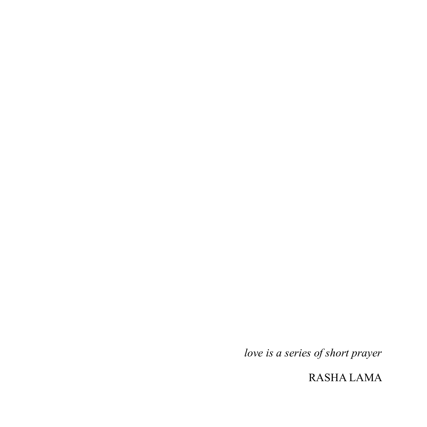*love is a series of short prayer*

RASHA LAMA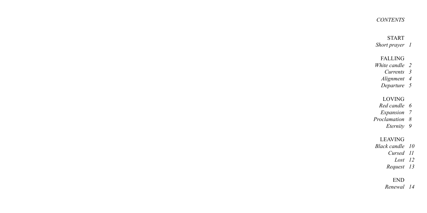### *CONTENTS*

### START

*Short prayer 1*

FALLING

- *White candle 2*
	- *Currents 3*
	- *Alignment 4*
	- *Departure 5*

# LOVING

- *Red candle 6*
- *Expansion 7*
- *Proclamation 8*
	- *Eternity 9*

# LEAVING

- *Black candle 10*
	- *Cursed 11*
	- *Lost 12*
	- *Request 13*

# END

*Renewal 14*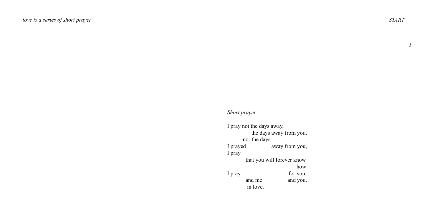# *Short prayer*

| I pray not the days away,  |                |  |  |  |  |  |  |
|----------------------------|----------------|--|--|--|--|--|--|
| the days away from you,    |                |  |  |  |  |  |  |
| nor the days               |                |  |  |  |  |  |  |
| I prayed                   | away from you, |  |  |  |  |  |  |
| I pray                     |                |  |  |  |  |  |  |
| that you will forever know |                |  |  |  |  |  |  |
|                            | how            |  |  |  |  |  |  |
| I pray                     | for you,       |  |  |  |  |  |  |
| and me                     | and you.       |  |  |  |  |  |  |
| in love.                   |                |  |  |  |  |  |  |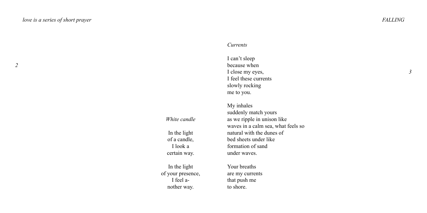### *Currents*

I can't sleep because when I close my eyes, I feel these currents slowly rocking me to you.

*White candle*

In the light of a candle, I look a certain way.

In the light of your presence, I feel another way.

My inhales suddenly match yours as we ripple in unison like waves in a calm sea, what feels so natural with the dunes of bed sheets under like formation of sand under waves.

Your breaths are my currents that push me to shore.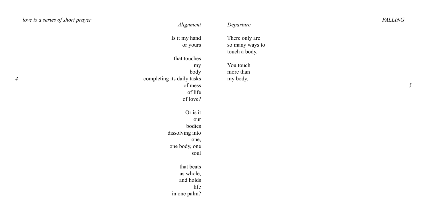| love is a series of short prayer | Alignment                  | Departure       | <b>FALLING</b> |  |
|----------------------------------|----------------------------|-----------------|----------------|--|
|                                  | Is it my hand              | There only are  |                |  |
|                                  | or yours                   | so many ways to |                |  |
|                                  |                            | touch a body.   |                |  |
|                                  | that touches               |                 |                |  |
|                                  | my                         | You touch       |                |  |
|                                  | body                       | more than       |                |  |
|                                  | completing its daily tasks | my body.        |                |  |
|                                  | of mess                    |                 |                |  |
|                                  | of life                    |                 |                |  |
|                                  | of love?                   |                 |                |  |
|                                  | Or is it                   |                 |                |  |
|                                  | our                        |                 |                |  |
|                                  | bodies                     |                 |                |  |
|                                  | dissolving into            |                 |                |  |
|                                  | one,                       |                 |                |  |
|                                  | one body, one              |                 |                |  |
|                                  | soul                       |                 |                |  |
|                                  | that beats                 |                 |                |  |
|                                  | as whole,                  |                 |                |  |
|                                  | and holds                  |                 |                |  |
|                                  | life                       |                 |                |  |
|                                  | in one palm?               |                 |                |  |
|                                  |                            |                 |                |  |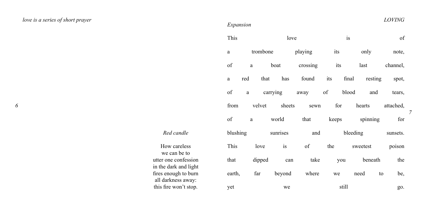# *love is a series of short prayer LOVING*

### *Expansion*

| This     |          | love     |               |                                         | is  |       |                         | of       |
|----------|----------|----------|---------------|-----------------------------------------|-----|-------|-------------------------|----------|
| a        |          | trombone |               | its<br>playing                          |     |       | only                    | note,    |
| οf       | a        |          | boat          | crossing its                            |     |       | last                    | channel, |
| a        | red      | that     |               | has found its final resting             |     |       |                         | spot,    |
| of       | a        |          |               | carrying away of blood and tears,       |     |       |                         |          |
| from     |          |          |               | velvet sheets sewn for hearts attached, |     |       |                         |          |
| $\sigma$ |          |          | a world       |                                         |     |       | that keeps spinning for |          |
|          | blushing |          | sunrises      | and                                     |     |       | bleeding                | sunsets. |
| This     |          | love     | $\frac{1}{1}$ | $\sigma$ f                              | the |       | sweetest                | poison   |
| that     |          |          | dipped can    | take you beneath                        |     |       |                         | the      |
| earth,   |          |          |               | far beyond where we need                |     |       | to                      | be,      |
| yet      |          |          | we            |                                         |     | still |                         | go.      |

How careless we can be to utter one confession in the dark and light fires enough to burn all darkness away: this fire won't stop.

*Red candle*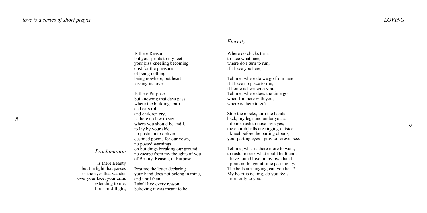### Is there Reason but your prints to my feet your kiss kneeling becoming dust for the pleasure of being nothing, being nowhere, but heart kissing its lover;

Is there Purpose but knowing that days pass where the buildings purr and cars roll and children cry, is there no law to say where you should be and I. to lay by your side, no postman to deliver destined poems for our vows, no posted warnings on buildings breaking our ground, no escape from my thoughts of you of Beauty, Reason, or Purpose:

# *Proclamation*

Is there Beauty but the light that passes or the eyes that wander over your face, your arms extending to me birds mid-flight;

Post me the letter declaring your hand does not belong in mine, and until then, I shall live every reason believing it was meant to be.

### *Eternity*

Where do clocks turn to face what face, where do I turn to run. if I have you here,

Tell me, where do we go from here if I have no place to run if home is here with you; Tell me, where does the time go when I'm here with you, where is there to go?

Stop the clocks, turn the hands back, my legs tied under yours. I do not rush to raise my eyes; the church bells are ringing outside. I kneel before the parting clouds, your parting eyes I pray to forever see.

Tell me, what is there more to want. to rush, to seek what could be found: I have found love in my own hand. I point no longer at time passing by. The bells are singing, can you hear? My heart is ticking, do you feel? I turn only to you.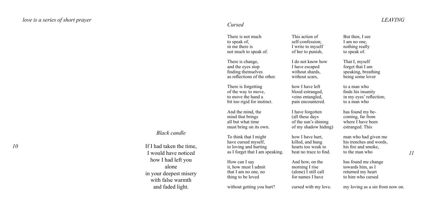There is not much to speak of, in me there is not much to speak of.

There is change, and the eyes stop finding themselves as reflections of the other.

There is forgetting of the way to move, to move the hand a bit too rigid for instinct.

And the mind, the mind that brings all but what time must bring on its own.

To think that I might have cursed myself, to loving and hurting as I forget that I am speaking.

How can I say it, how must I admit that I am no one, no thing to be loved

without getting you hurt?

This action of self-confession; I write to myself of her to punish,

I do not know how I have escaped without shards. without scars.

how I have left blood estranged, veins entangled, pain encountered.

I have forgotten (all these days of the sun's shining of my shadow hiding)

how I have hurt, killed, and hung hearts too weak to beat no trace to find.

And how, on the morning I rise (alone) I still call for names I have

cursed with my love.

But then, I see I am no one. nothing really to speak of.

That I, myself forget that I am speaking, breathing being some lover

to a man who finds his insanity in my eyes' reflection; to a man who

has found my becoming, far from where I have been estranged. This

man who had given me his trenches and words, his fire and smoke, to the man who

has found me change towards him, as I returned my heart to him who cursed

my loving as a sin from now on.

### *Black candle*

If I had taken the time, I would have noticed how I had left you alone in your deepest misery with false warmth and faded light.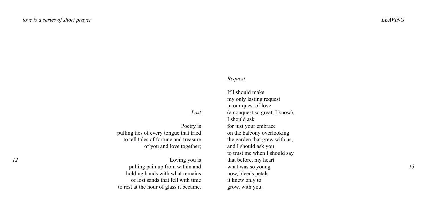### *Request*

If I should make my only lasting request in our quest of love (a conquest so great, I know), I should ask for just your embrace on the balcony overlooking the garden that grew with us, and I should ask you to trust me when I should say that before, my heart what was so young now, bleeds petals it knew only to grow, with you.

*Lost*

Poetry is pulling ties of every tongue that tried to tell tales of fortune and treasure of you and love together;

Loving you is pulling pain up from within and holding hands with what remains of lost sands that fell with time to rest at the hour of glass it became.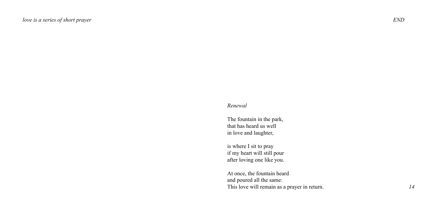### *Renewal*

The fountain in the park, that has heard us well in love and laughter,

is where I sit to pray if my heart will still pour after loving one like you.

At once, the fountain heard and poured all the same: This love will remain as a prayer in return.